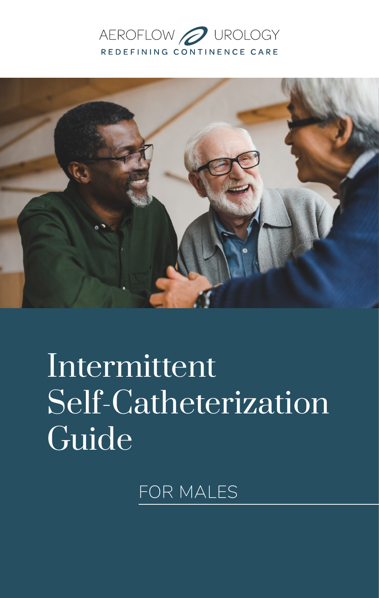# AEROFLOW **O** UROLOGY REDEFINING CONTINENCE CARE



# Intermittent Self-Catheterization Guide

FOR MALES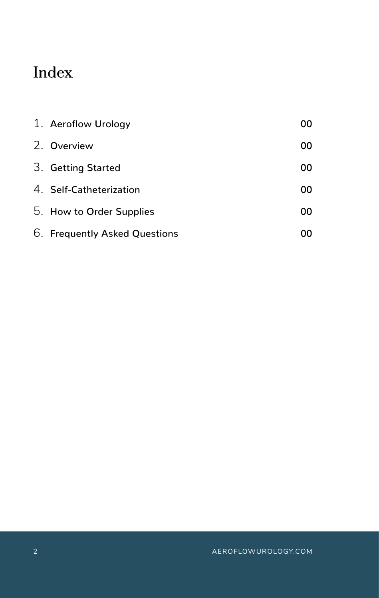# Index

| 1. Aeroflow Urology           | 00 |
|-------------------------------|----|
| 2. Overview                   | 00 |
| 3. Getting Started            | 00 |
| 4. Self-Catheterization       | 00 |
| 5. How to Order Supplies      | 00 |
| 6. Frequently Asked Questions | ΩO |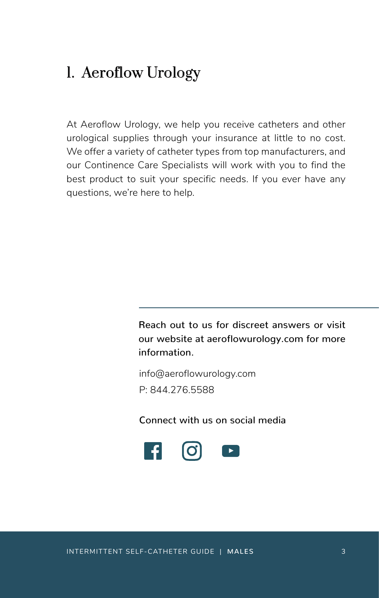# 1. Aeroflow Urology

At Aeroflow Urology, we help you receive catheters and other urological supplies through your insurance at little to no cost. We offer a variety of catheter types from top manufacturers, and our Continence Care Specialists will work with you to find the best product to suit your specific needs. If you ever have any questions, we're here to help.

> Reach out to us for discreet answers or visit our website at aeroflowurology.com for more information.

info@aeroflowurology.com P: 844.276.5588

Connect with us on social media

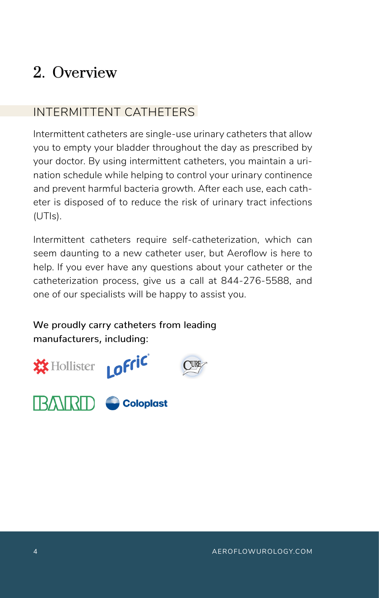# 2. Overview

# INTERMITTENT CATHETERS

Intermittent catheters are single-use urinary catheters that allow you to empty your bladder throughout the day as prescribed by your doctor. By using intermittent catheters, you maintain a urination schedule while helping to control your urinary continence and prevent harmful bacteria growth. After each use, each catheter is disposed of to reduce the risk of urinary tract infections (UTIs).

Intermittent catheters require self-catheterization, which can seem daunting to a new catheter user, but Aeroflow is here to help. If you ever have any questions about your catheter or the catheterization process, give us a call at 844-276-5588, and one of our specialists will be happy to assist you.

We proudly carry catheters from leading manufacturers, including:



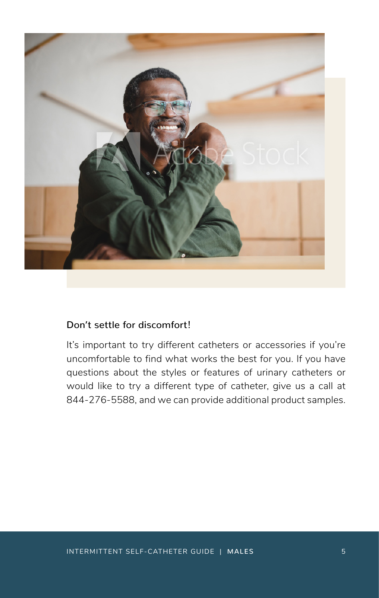

### Don't settle for discomfort!

It's important to try different catheters or accessories if you're uncomfortable to find what works the best for you. If you have questions about the styles or features of urinary catheters or would like to try a different type of catheter, give us a call at 844-276-5588, and we can provide additional product samples.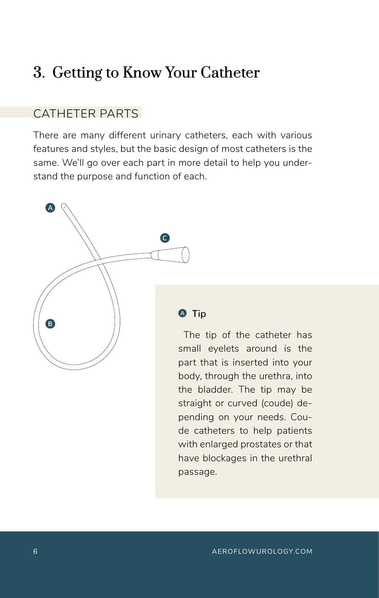# 3. Getting to Know Your Catheter

### CATHETER PARTS

There are many different urinary catheters, each with various features and styles, but the basic design of most catheters is the same. We'll go over each part in more detail to help you understand the purpose and function of each.



#### **4** Tip

 The tip of the catheter has small eyelets around is the part that is inserted into your body, through the urethra, into the bladder. The tip may be straight or curved (coude) depending on your needs. Coude catheters to help patients with enlarged prostates or that have blockages in the urethral passage.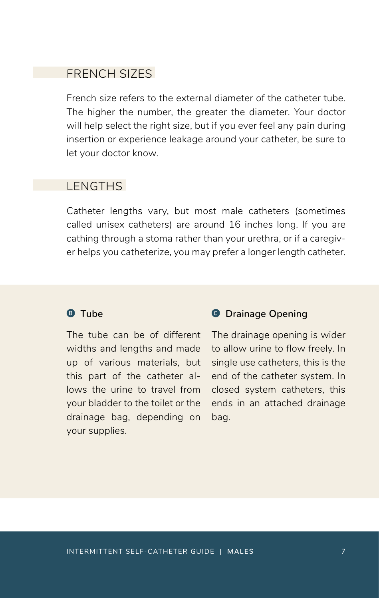### FRENCH SIZES

French size refers to the external diameter of the catheter tube. The higher the number, the greater the diameter. Your doctor will help select the right size, but if you ever feel any pain during insertion or experience leakage around your catheter, be sure to let your doctor know.

### LENGTHS

Catheter lengths vary, but most male catheters (sometimes called unisex catheters) are around 16 inches long. If you are cathing through a stoma rather than your urethra, or if a caregiver helps you catheterize, you may prefer a longer length catheter.

#### **B** Tube

The tube can be of different widths and lengths and made up of various materials, but this part of the catheter allows the urine to travel from your bladder to the toilet or the drainage bag, depending on your supplies.

#### **O** Drainage Opening

The drainage opening is wider to allow urine to flow freely. In single use catheters, this is the end of the catheter system. In closed system catheters, this ends in an attached drainage bag.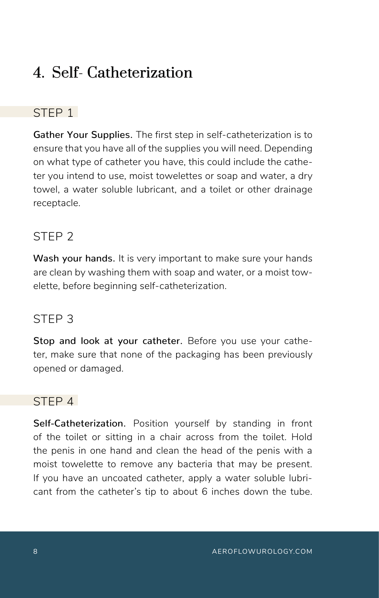# 4. Self- Catheterization

# STFP<sub>1</sub>

Gather Your Supplies. The first step in self-catheterization is to ensure that you have all of the supplies you will need. Depending on what type of catheter you have, this could include the catheter you intend to use, moist towelettes or soap and water, a dry towel, a water soluble lubricant, and a toilet or other drainage receptacle.

# STEP 2

Wash your hands. It is very important to make sure your hands are clean by washing them with soap and water, or a moist towelette, before beginning self-catheterization.

### STEP 3

Stop and look at your catheter. Before you use your catheter, make sure that none of the packaging has been previously opened or damaged.

## STEP 4

Self-Catheterization. Position yourself by standing in front of the toilet or sitting in a chair across from the toilet. Hold the penis in one hand and clean the head of the penis with a moist towelette to remove any bacteria that may be present. If you have an uncoated catheter, apply a water soluble lubricant from the catheter's tip to about 6 inches down the tube.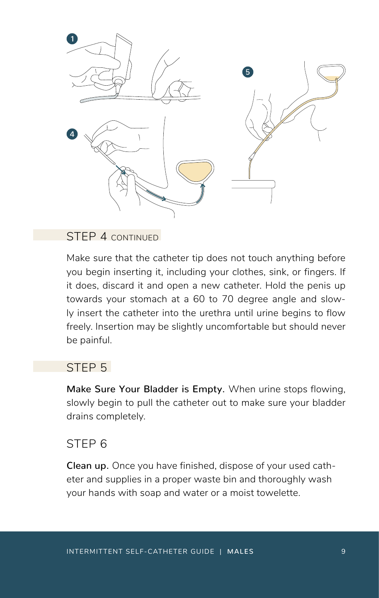

#### STEP 4 CONTINUED

Make sure that the catheter tip does not touch anything before you begin inserting it, including your clothes, sink, or fingers. If it does, discard it and open a new catheter. Hold the penis up towards your stomach at a 60 to 70 degree angle and slowly insert the catheter into the urethra until urine begins to flow freely. Insertion may be slightly uncomfortable but should never be painful.

#### STEP<sub>5</sub>

Make Sure Your Bladder is Empty. When urine stops flowing, slowly begin to pull the catheter out to make sure your bladder drains completely.

#### STEP 6

Clean up. Once you have finished, dispose of your used catheter and supplies in a proper waste bin and thoroughly wash your hands with soap and water or a moist towelette.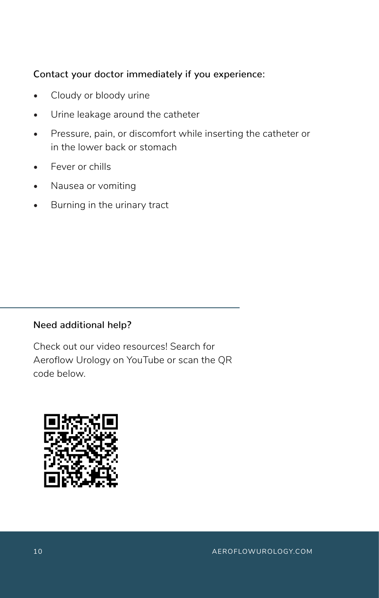#### Contact your doctor immediately if you experience:

- Cloudy or bloody urine
- Urine leakage around the catheter
- Pressure, pain, or discomfort while inserting the catheter or in the lower back or stomach
- Fever or chills
- Nausea or vomiting
- Burning in the urinary tract

### Need additional help?

Check out our video resources! Search for Aeroflow Urology on YouTube or scan the QR code below.

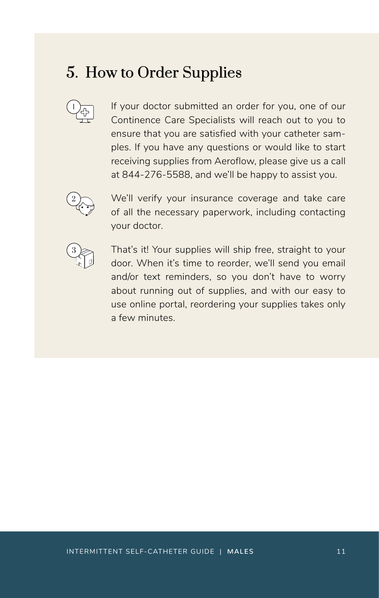# 5. How to Order Supplies



If your doctor submitted an order for you, one of our Continence Care Specialists will reach out to you to ensure that you are satisfied with your catheter samples. If you have any questions or would like to start receiving supplies from Aeroflow, please give us a call at 844-276-5588, and we'll be happy to assist you.



We'll verify your insurance coverage and take care of all the necessary paperwork, including contacting your doctor.



That's it! Your supplies will ship free, straight to your door. When it's time to reorder, we'll send you email and/or text reminders, so you don't have to worry about running out of supplies, and with our easy to use online portal, reordering your supplies takes only a few minutes.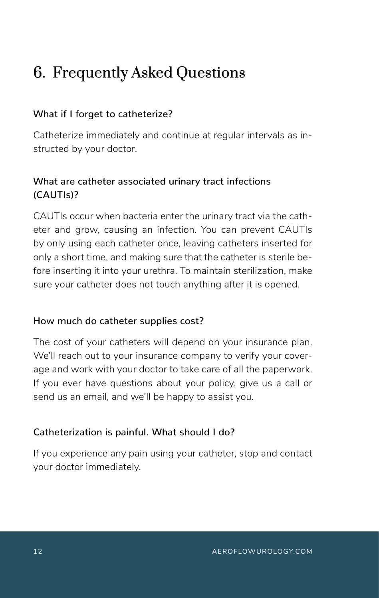# 6. Frequently Asked Questions

### What if I forget to catheterize?

Catheterize immediately and continue at regular intervals as instructed by your doctor.

### What are catheter associated urinary tract infections (CAUTIs)?

CAUTIs occur when bacteria enter the urinary tract via the catheter and grow, causing an infection. You can prevent CAUTIs by only using each catheter once, leaving catheters inserted for only a short time, and making sure that the catheter is sterile before inserting it into your urethra. To maintain sterilization, make sure your catheter does not touch anything after it is opened.

### How much do catheter supplies cost?

The cost of your catheters will depend on your insurance plan. We'll reach out to your insurance company to verify your coverage and work with your doctor to take care of all the paperwork. If you ever have questions about your policy, give us a call or send us an email, and we'll be happy to assist you.

### Catheterization is painful. What should I do?

If you experience any pain using your catheter, stop and contact your doctor immediately.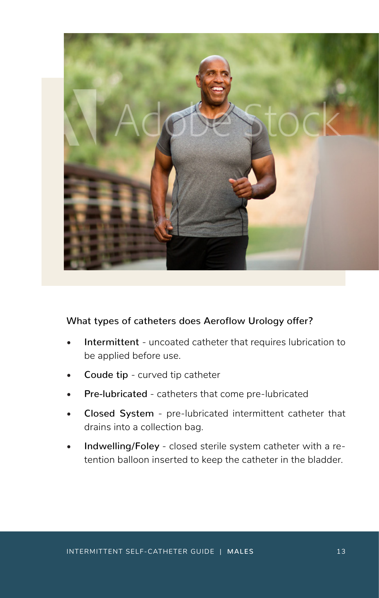

#### What types of catheters does Aeroflow Urology offer?

- Intermittent uncoated catheter that requires lubrication to be applied before use.
- Coude tip curved tip catheter
- Pre-lubricated catheters that come pre-lubricated
- Closed System pre-lubricated intermittent catheter that drains into a collection bag.
- Indwelling/Foley closed sterile system catheter with a retention balloon inserted to keep the catheter in the bladder.